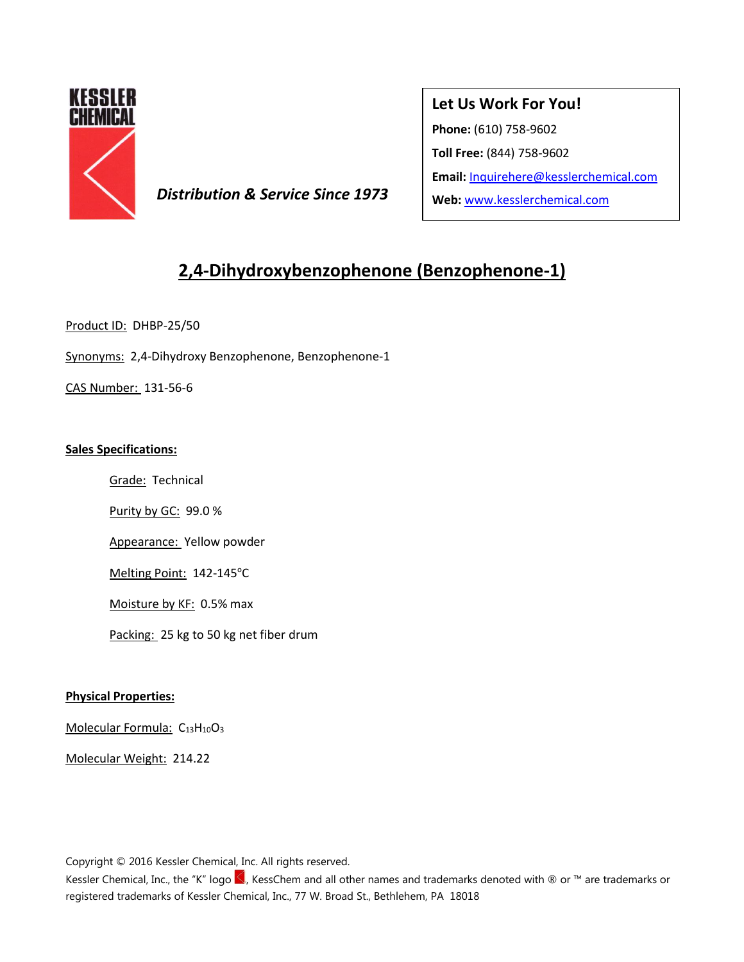

**Distribution & Service Since 1973** Web: [www.kesslerchemical.com](http://www.kesslerchemical.com/)

## **Let Us Work For You!**

**Phone:** (610) 758-9602

**Toll Free:** (844) 758-9602

**Email:** [Inquirehere@kesslerchemical.com](mailto:Inquirehere@kesslerchemical.com)

# **2,4-Dihydroxybenzophenone (Benzophenone-1)**

Product ID: DHBP-25/50

Synonyms: 2,4-Dihydroxy Benzophenone, Benzophenone-1

CAS Number: 131-56-6

#### **Sales Specifications:**

Grade: Technical

Purity by GC: 99.0 %

Appearance: Yellow powder

Melting Point: 142-145°C

Moisture by KF: 0.5% max

Packing: 25 kg to 50 kg net fiber drum

### **Physical Properties:**

Molecular Formula: C<sub>13</sub>H<sub>10</sub>O<sub>3</sub>

Molecular Weight: 214.22

Copyright © 2016 Kessler Chemical, Inc. All rights reserved.

Kessler Chemical, Inc., the "K" logo <, KessChem and all other names and trademarks denoted with ® or ™ are trademarks or registered trademarks of Kessler Chemical, Inc., 77 W. Broad St., Bethlehem, PA 18018